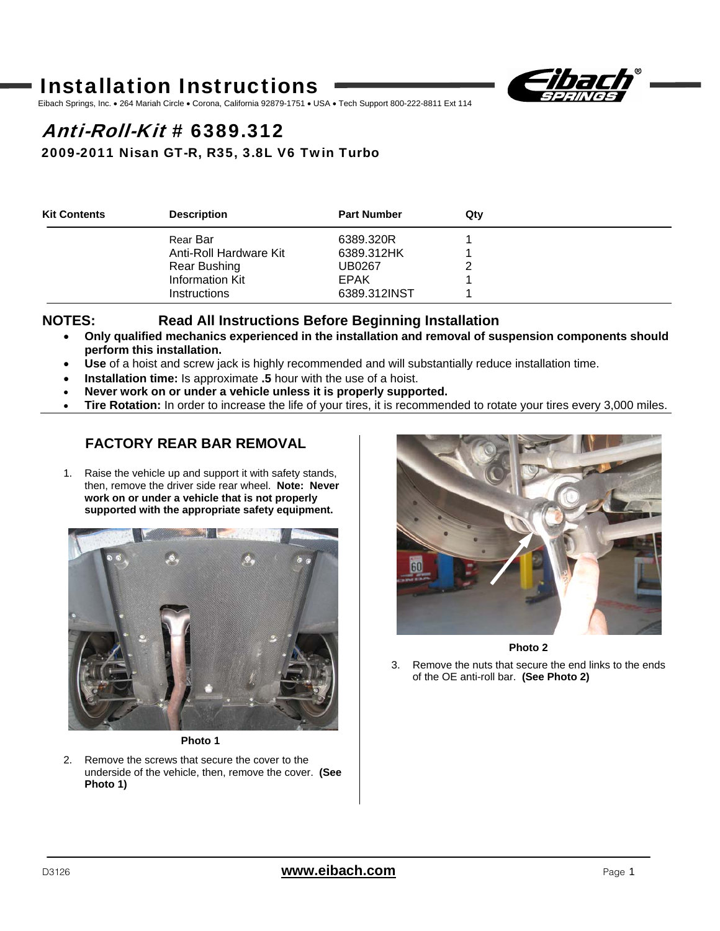# Installation Instructions



Eibach Springs, Inc. • 264 Mariah Circle • Corona, California 92879-1751 • USA • Tech Support 800-222-8811 Ext 114

# Anti-Roll-Kit # 6389.312

### 2009-2011 Nisan GT-R, R35, 3.8L V6 Twin Turbo

| <b>Kit Contents</b> | <b>Description</b>     | <b>Part Number</b> | Qtv |  |
|---------------------|------------------------|--------------------|-----|--|
|                     | Rear Bar               | 6389.320R          |     |  |
|                     | Anti-Roll Hardware Kit | 6389.312HK         |     |  |
|                     | Rear Bushing           | UB0267             |     |  |
|                     | <b>Information Kit</b> | <b>EPAK</b>        |     |  |
|                     | <b>Instructions</b>    | 6389.312INST       |     |  |

#### **NOTES: Read All Instructions Before Beginning Installation**

- **Only qualified mechanics experienced in the installation and removal of suspension components should perform this installation.**
- **Use** of a hoist and screw jack is highly recommended and will substantially reduce installation time.
- **Installation time:** Is approximate **.5** hour with the use of a hoist.
- **Never work on or under a vehicle unless it is properly supported.**
- **Tire Rotation:** In order to increase the life of your tires, it is recommended to rotate your tires every 3,000 miles.

## **FACTORY REAR BAR REMOVAL**

1. Raise the vehicle up and support it with safety stands, then, remove the driver side rear wheel. **Note: Never work on or under a vehicle that is not properly supported with the appropriate safety equipment.** 



**Photo 1** 

2. Remove the screws that secure the cover to the underside of the vehicle, then, remove the cover. **(See Photo 1)** 



**Photo 2** 

3. Remove the nuts that secure the end links to the ends of the OE anti-roll bar. **(See Photo 2)**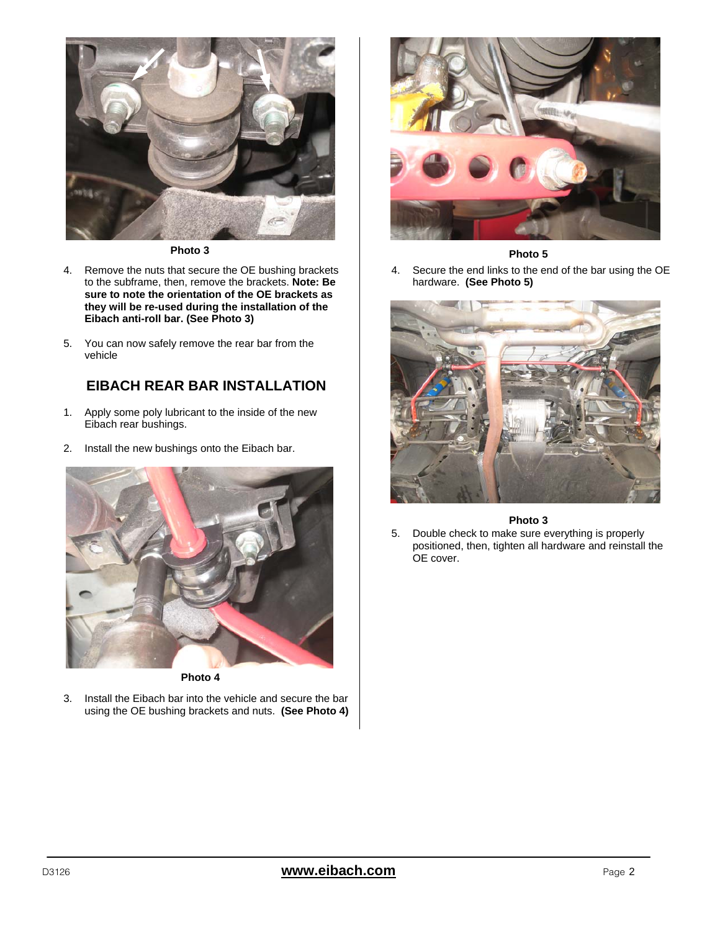

**Photo 3** 

- 4. Remove the nuts that secure the OE bushing brackets to the subframe, then, remove the brackets. **Note: Be sure to note the orientation of the OE brackets as they will be re-used during the installation of the Eibach anti-roll bar. (See Photo 3)**
- 5. You can now safely remove the rear bar from the vehicle

## **EIBACH REAR BAR INSTALLATION**

- 1. Apply some poly lubricant to the inside of the new Eibach rear bushings.
- 2. Install the new bushings onto the Eibach bar.



3. Install the Eibach bar into the vehicle and secure the bar using the OE bushing brackets and nuts. **(See Photo 4)**



#### **Photo 5**

4. Secure the end links to the end of the bar using the OE hardware. **(See Photo 5)**



#### **Photo 3**

5. Double check to make sure everything is properly positioned, then, tighten all hardware and reinstall the OE cover.